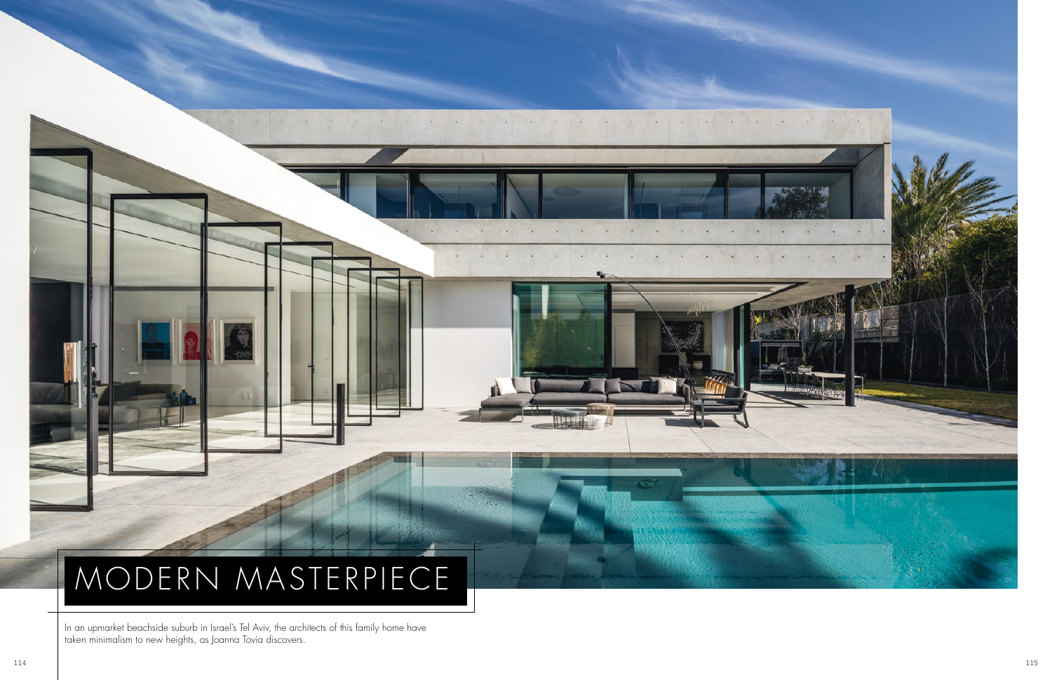## Modern masterpiece

In an upmarket beachside suburb in Israel's Tel Aviv, the architects of this family home have taken minimalism to new heights, as Joanna Tovia discovers.